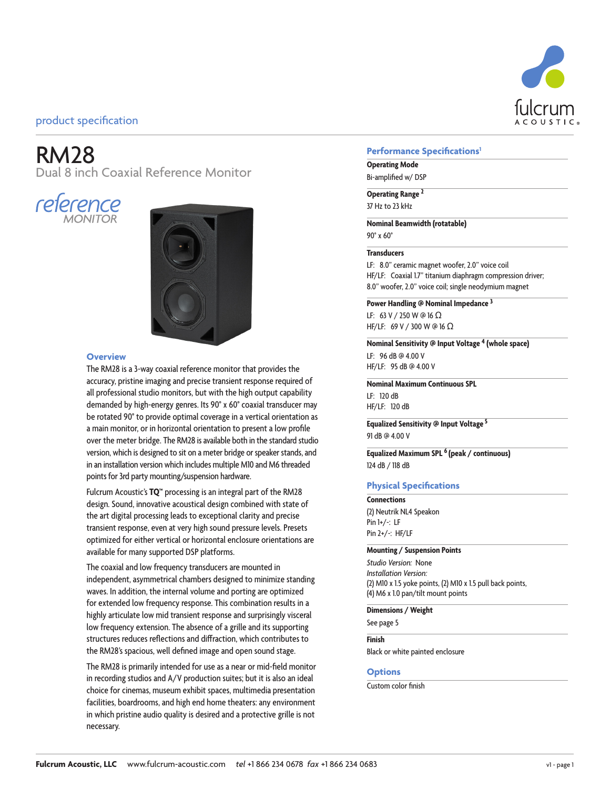

# RM28

Dual 8 inch Coaxial Reference Monitor





### **Overview**

The RM28 is a 3-way coaxial reference monitor that provides the accuracy, pristine imaging and precise transient response required of all professional studio monitors, but with the high output capability demanded by high-energy genres. Its 90° x 60° coaxial transducer may be rotated 90° to provide optimal coverage in a vertical orientation as a main monitor, or in horizontal orientation to present a low profile over the meter bridge. The RM28 is available both in the standard studio version, which is designed to sit on a meter bridge or speaker stands, and in an installation version which includes multiple M10 and M6 threaded points for 3rd party mounting/suspension hardware.

Fulcrum Acoustic's **TQ™** processing is an integral part of the RM28 design. Sound, innovative acoustical design combined with state of the art digital processing leads to exceptional clarity and precise transient response, even at very high sound pressure levels. Presets optimized for either vertical or horizontal enclosure orientations are available for many supported DSP platforms.

The coaxial and low frequency transducers are mounted in independent, asymmetrical chambers designed to minimize standing waves. In addition, the internal volume and porting are optimized for extended low frequency response. This combination results in a highly articulate low mid transient response and surprisingly visceral low frequency extension. The absence of a grille and its supporting structures reduces reflections and diffraction, which contributes to the RM28's spacious, well defined image and open sound stage.

The RM28 is primarily intended for use as a near or mid-field monitor in recording studios and A/V production suites; but it is also an ideal choice for cinemas, museum exhibit spaces, multimedia presentation facilities, boardrooms, and high end home theaters: any environment in which pristine audio quality is desired and a protective grille is not necessary.

### **Performance Specifications1**

## **Operating Mode**

Bi-amplified w/ DSP

**Operating Range <sup>2</sup>** 37 Hz to 23 kHz

**Nominal Beamwidth (rotatable)** 90° x 60°

### **Transducers**

LF: 8.0" ceramic magnet woofer, 2.0" voice coil HF/LF: Coaxial 1.7" titanium diaphragm compression driver; 8.0" woofer, 2.0" voice coil; single neodymium magnet

**Power Handling @ Nominal Impedance 3**

LF: 63 V / 250 W @ 16 Ω HF/LF: 69 V / 300 W @ 16 Ω

**Nominal Sensitivity @ Input Voltage 4 (whole space)** LF: 96 dB @ 4.00 V HF/LF: 95 dB @ 4.00 V

**Nominal Maximum Continuous SPL** LF: 120 dB HF/LF: 120 dB

**Equalized Sensitivity @ Input Voltage 5** 91 dB @ 4.00 V

**Equalized Maximum SPL 6 (peak / continuous)** 124 dB / 118 dB

### **Physical Specifications**

### **Connections** (2) Neutrik NL4 Speakon Pin 1+/-: LF Pin 2+/-: HF/LF

#### **Mounting / Suspension Points**

*Studio Version:* None *Installation Version:* (2) M10 x 1.5 yoke points, (2) M10 x 1.5 pull back points, (4) M6 x 1.0 pan/tilt mount points

**Dimensions / Weight**

See page 5

**Finish** Black or white painted enclosure

### **Options**

Custom color finish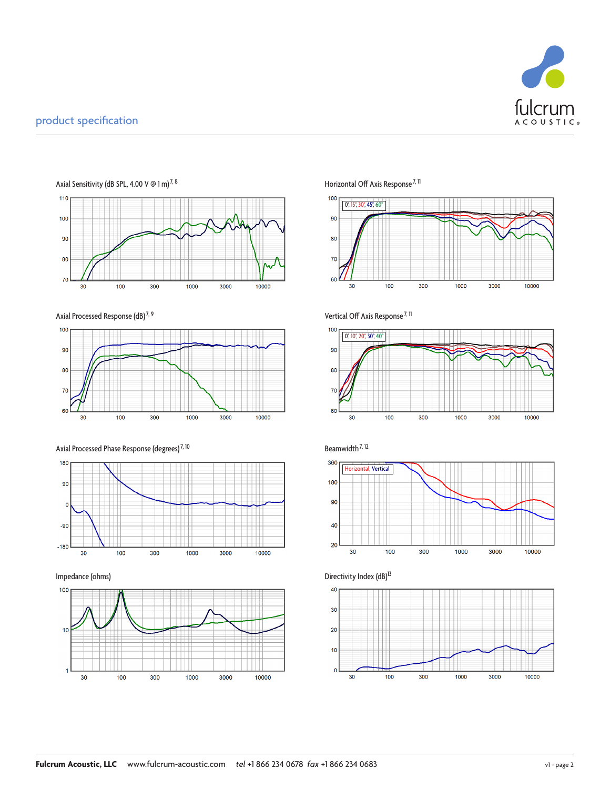





Axial Processed Phase Response (degrees)<sup>7, 10</sup> Beamwidth<sup>7, 12</sup>







Vertical Off Axis Response<sup>7, 11</sup>









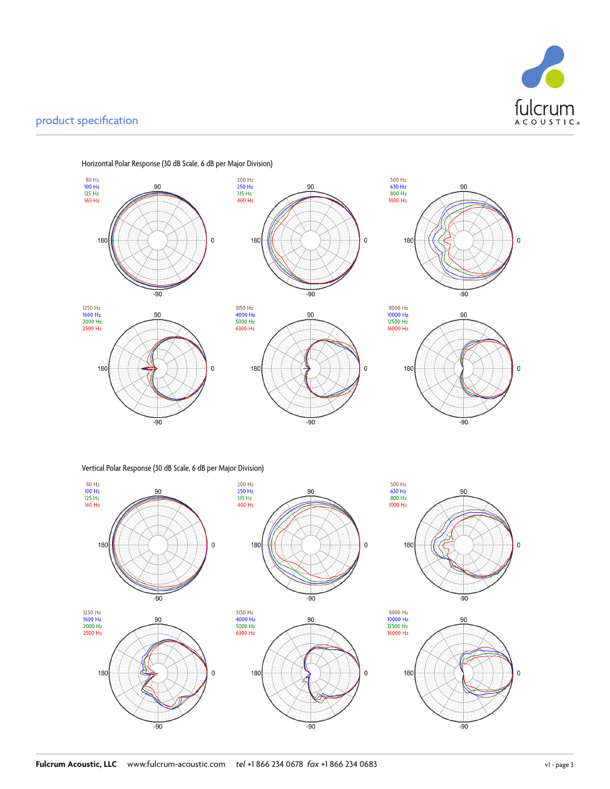



Horizontal Polar Response (30 dB Scale, 6 dB per Major Division)

Vertical Polar Response (30 dB Scale, 6 dB per Major Division)

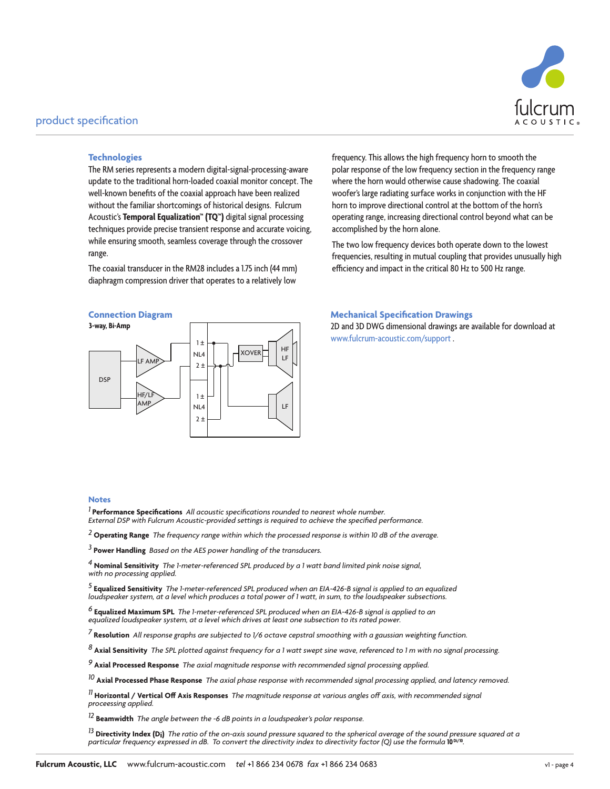

### **Technologies**

The RM series represents a modern digital-signal-processing-aware update to the traditional horn-loaded coaxial monitor concept. The well-known benefits of the coaxial approach have been realized without the familiar shortcomings of historical designs. Fulcrum Acoustic's **Temporal Equalization™ (TQ™)** digital signal processing techniques provide precise transient response and accurate voicing, while ensuring smooth, seamless coverage through the crossover range.

The coaxial transducer in the RM28 includes a 1.75 inch (44 mm) diaphragm compression driver that operates to a relatively low

### **Connection Diagram**



### frequency. This allows the high frequency horn to smooth the polar response of the low frequency section in the frequency range where the horn would otherwise cause shadowing. The coaxial woofer's large radiating surface works in conjunction with the HF horn to improve directional control at the bottom of the horn's operating range, increasing directional control beyond what can be accomplished by the horn alone.

The two low frequency devices both operate down to the lowest frequencies, resulting in mutual coupling that provides unusually high efficiency and impact in the critical 80 Hz to 500 Hz range.

### **Mechanical Specification Drawings**

2D and 3D DWG dimensional drawings are available for download at www.fulcrum-acoustic.com/support .

### **Notes**

*1* **Performance Specifications** *All acoustic specifications rounded to nearest whole number. External DSP with Fulcrum Acoustic-provided settings is required to achieve the specified performance.*

*2* **Operating Range** *The frequency range within which the processed response is within 10 dB of the average.*

*3* **Power Handling** *Based on the AES power handling of the transducers.*

*4* **Nominal Sensitivity** *The 1-meter-referenced SPL produced by a 1 watt band limited pink noise signal, with no processing applied.*

*5* **Equalized Sensitivity** *The 1-meter-referenced SPL produced when an EIA-426-B signal is applied to an equalized loudspeaker system, at a level which produces a total power of 1 watt, in sum, to the loudspeaker subsections.* 

<sup>6</sup> **Equalized Maximum SPL** The 1-meter-referenced SPL produced when an EIA-426-B signal is applied to an<br>equalized loudspeaker system, at a level which drives at least one subsection to its rated power.

*7* **Resolution** *All response graphs are subjected to 1/6 octave cepstral smoothing with a gaussian weighting function.* 

*8* **Axial Sensitivity** *The SPL plotted against frequency for a 1 watt swept sine wave, referenced to 1 m with no signal processing.*

*9* **Axial Processed Response** *The axial magnitude response with recommended signal processing applied.*

*10* **Axial Processed Phase Response** *The axial phase response with recommended signal processing applied, and latency removed.*

*11* **Horizontal / Vertical Off Axis Responses** *The magnitude response at various angles off axis, with recommended signal proceessing applied.*

*12* **Beamwidth** *The angle between the -6 dB points in a loudspeaker's polar response.*

*<sup>13</sup>* **Directivity Index (Di)** *The ratio of the on-axis sound pressure squared to the spherical average of the sound pressure squared at a particular frequency expressed in dB. To convert the directivity index to directivity factor (Q) use the formula 10<sup>b/10</sup>.*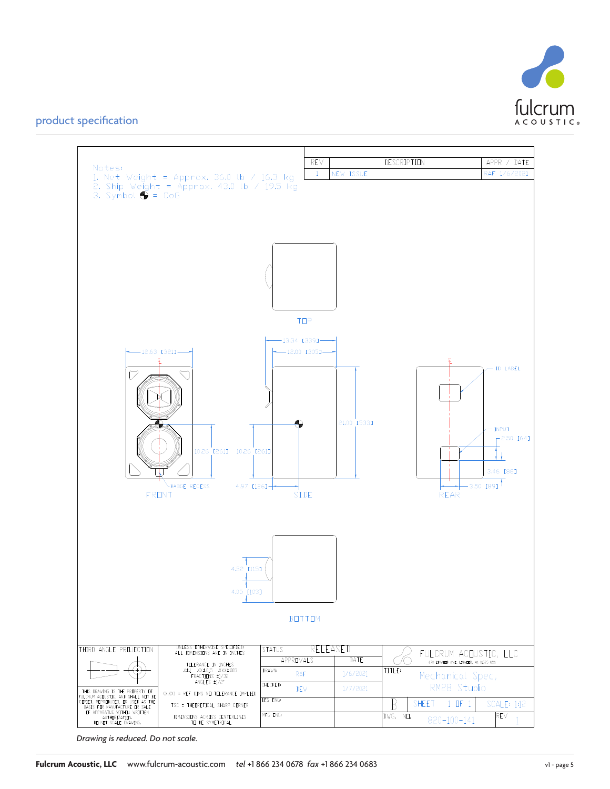



*Drawing is reduced. Do not scale.*